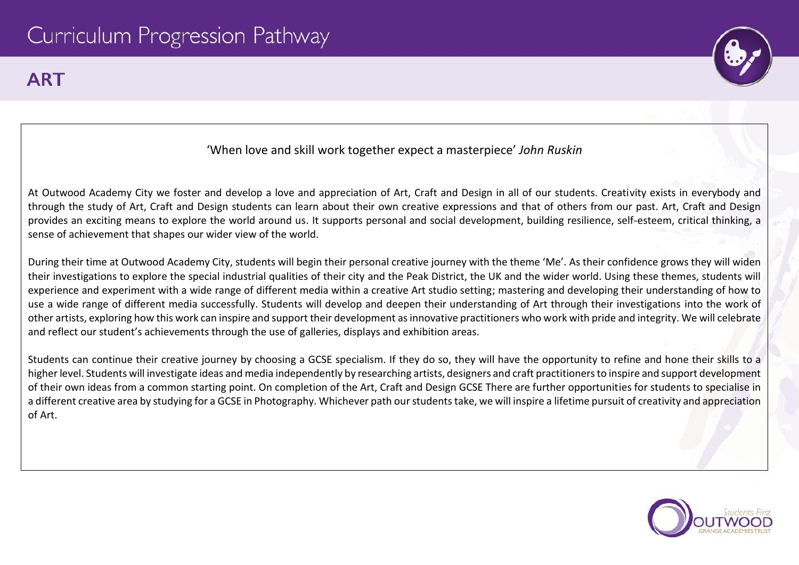## **ART**



## 'When love and skill work together expect a masterpiece' *John Ruskin*

At Outwood Academy City we foster and develop a love and appreciation of Art, Craft and Design in all of our students. Creativity exists in everybody and through the study of Art, Craft and Design students can learn about their own creative expressions and that of others from our past. Art, Craft and Design provides an exciting means to explore the world around us. It supports personal and social development, building resilience, self-esteem, critical thinking, a sense of achievement that shapes our wider view of the world.

During their time at Outwood Academy City, students will begin their personal creative journey with the theme 'Me'. As their confidence grows they will widen their investigations to explore the special industrial qualities of their city and the Peak District, the UK and the wider world. Using these themes, students will experience and experiment with a wide range of different media within a creative Art studio setting; mastering and developing their understanding of how to use a wide range of different media successfully. Students will develop and deepen their understanding of Art through their investigations into the work of other artists, exploring how this work can inspire and support their development as innovative practitioners who work with pride and integrity. We will celebrate and reflect our student's achievements through the use of galleries, displays and exhibition areas.

Students can continue their creative journey by choosing a GCSE specialism. If they do so, they will have the opportunity to refine and hone their skills to a higher level. Students will investigate ideas and media independently by researching artists, designers and craft practitioners to inspire and support development of their own ideas from a common starting point. On completion of the Art, Craft and Design GCSE There are further opportunities for students to specialise in a different creative area by studying for a GCSE in Photography. Whichever path our students take, we will inspire a lifetime pursuit of creativity and appreciation of Art.

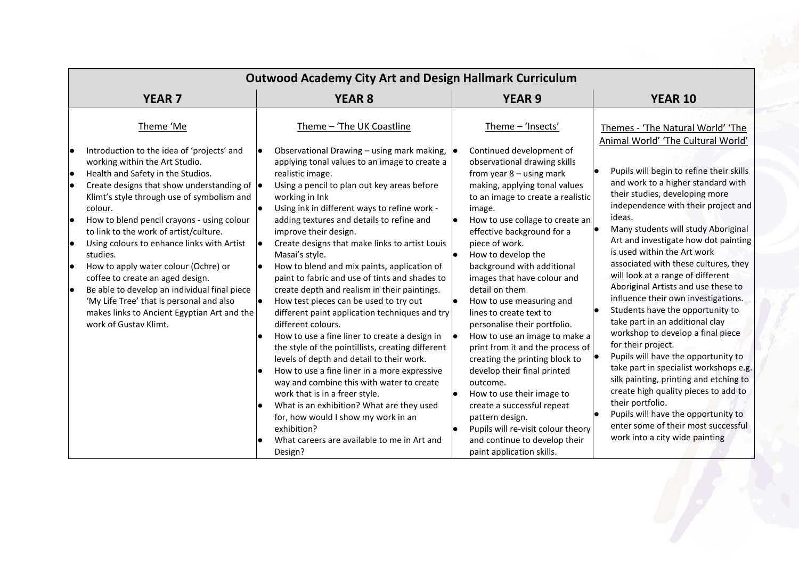|                | <b>Outwood Academy City Art and Design Hallmark Curriculum</b>                                                                                                                                                                                                                                                                                                                                                                                                                                                                                                                                                                                       |  |                                                                                                                                                                                                                                                                                                                                                                                                                                                                                                                                                                                                                                                                                                                                                                                                                                                                                                                                                                            |                                     |                                                                                                                                                                                                                                                                                                                                                                                                                                                                                                                                                                                                                                                           |  |                                                                                                                                                                                                                                                                                                                                                                                                                                                                                                                                                                                                                                                                                                                                                                                                                            |  |
|----------------|------------------------------------------------------------------------------------------------------------------------------------------------------------------------------------------------------------------------------------------------------------------------------------------------------------------------------------------------------------------------------------------------------------------------------------------------------------------------------------------------------------------------------------------------------------------------------------------------------------------------------------------------------|--|----------------------------------------------------------------------------------------------------------------------------------------------------------------------------------------------------------------------------------------------------------------------------------------------------------------------------------------------------------------------------------------------------------------------------------------------------------------------------------------------------------------------------------------------------------------------------------------------------------------------------------------------------------------------------------------------------------------------------------------------------------------------------------------------------------------------------------------------------------------------------------------------------------------------------------------------------------------------------|-------------------------------------|-----------------------------------------------------------------------------------------------------------------------------------------------------------------------------------------------------------------------------------------------------------------------------------------------------------------------------------------------------------------------------------------------------------------------------------------------------------------------------------------------------------------------------------------------------------------------------------------------------------------------------------------------------------|--|----------------------------------------------------------------------------------------------------------------------------------------------------------------------------------------------------------------------------------------------------------------------------------------------------------------------------------------------------------------------------------------------------------------------------------------------------------------------------------------------------------------------------------------------------------------------------------------------------------------------------------------------------------------------------------------------------------------------------------------------------------------------------------------------------------------------------|--|
|                | <b>YEAR 7</b>                                                                                                                                                                                                                                                                                                                                                                                                                                                                                                                                                                                                                                        |  | <b>YEAR 8</b>                                                                                                                                                                                                                                                                                                                                                                                                                                                                                                                                                                                                                                                                                                                                                                                                                                                                                                                                                              |                                     | <b>YEAR 9</b>                                                                                                                                                                                                                                                                                                                                                                                                                                                                                                                                                                                                                                             |  | <b>YEAR 10</b>                                                                                                                                                                                                                                                                                                                                                                                                                                                                                                                                                                                                                                                                                                                                                                                                             |  |
| lo<br>lo<br>lo | Theme 'Me<br>Introduction to the idea of 'projects' and<br>working within the Art Studio.<br>Health and Safety in the Studios.<br>Create designs that show understanding of $  \bullet  $<br>Klimt's style through use of symbolism and<br>colour.<br>How to blend pencil crayons - using colour<br>to link to the work of artist/culture.<br>Using colours to enhance links with Artist<br>studies.<br>How to apply water colour (Ochre) or<br>coffee to create an aged design.<br>Be able to develop an individual final piece<br>'My Life Tree' that is personal and also<br>makes links to Ancient Egyptian Art and the<br>work of Gustav Klimt. |  | Theme - 'The UK Coastline<br>Observational Drawing – using mark making, $  \bullet  $<br>applying tonal values to an image to create a<br>realistic image.<br>Using a pencil to plan out key areas before<br>working in Ink<br>Using ink in different ways to refine work -<br>adding textures and details to refine and<br>improve their design.<br>Create designs that make links to artist Louis<br>Masai's style.<br>How to blend and mix paints, application of<br>paint to fabric and use of tints and shades to<br>create depth and realism in their paintings.<br>How test pieces can be used to try out<br>different paint application techniques and try<br>different colours.<br>How to use a fine liner to create a design in<br>the style of the pointillists, creating different<br>levels of depth and detail to their work.<br>How to use a fine liner in a more expressive<br>way and combine this with water to create<br>work that is in a freer style. | $\bullet$<br>$\bullet$<br>$\bullet$ | Theme - 'Insects'<br>Continued development of<br>observational drawing skills<br>from year $8 -$ using mark<br>making, applying tonal values<br>to an image to create a realistic<br>image.<br>How to use collage to create an<br>effective background for a<br>piece of work.<br>How to develop the<br>background with additional<br>images that have colour and<br>detail on them<br>How to use measuring and<br>lines to create text to<br>personalise their portfolio.<br>How to use an image to make a<br>print from it and the process of<br>creating the printing block to<br>develop their final printed<br>outcome.<br>How to use their image to |  | Themes - 'The Natural World' 'The<br>Animal World' 'The Cultural World'<br>Pupils will begin to refine their skills<br>and work to a higher standard with<br>their studies, developing more<br>independence with their project and<br>ideas.<br>Many students will study Aboriginal<br>Art and investigate how dot painting<br>is used within the Art work<br>associated with these cultures, they<br>will look at a range of different<br>Aboriginal Artists and use these to<br>influence their own investigations.<br>Students have the opportunity to<br>take part in an additional clay<br>workshop to develop a final piece<br>for their project.<br>Pupils will have the opportunity to<br>take part in specialist workshops e.g.<br>silk painting, printing and etching to<br>create high quality pieces to add to |  |
|                |                                                                                                                                                                                                                                                                                                                                                                                                                                                                                                                                                                                                                                                      |  | What is an exhibition? What are they used<br>for, how would I show my work in an<br>exhibition?<br>What careers are available to me in Art and<br>Design?                                                                                                                                                                                                                                                                                                                                                                                                                                                                                                                                                                                                                                                                                                                                                                                                                  |                                     | create a successful repeat<br>pattern design.<br>Pupils will re-visit colour theory<br>and continue to develop their<br>paint application skills.                                                                                                                                                                                                                                                                                                                                                                                                                                                                                                         |  | their portfolio.<br>Pupils will have the opportunity to<br>enter some of their most successful<br>work into a city wide painting                                                                                                                                                                                                                                                                                                                                                                                                                                                                                                                                                                                                                                                                                           |  |